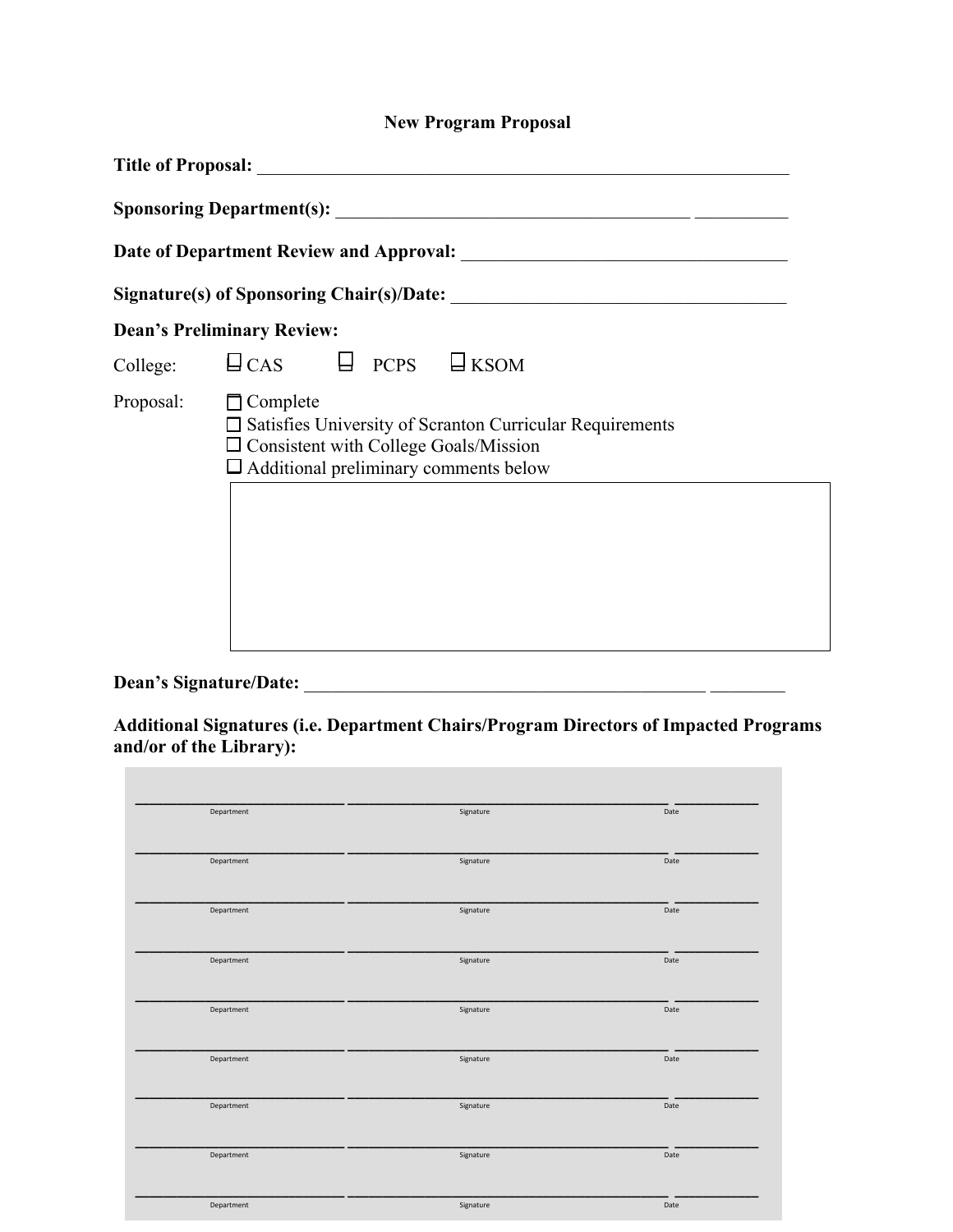## **New Program Proposal**

|           | Title of Proposal: Title of Proposal:                                                                                                                                                 |
|-----------|---------------------------------------------------------------------------------------------------------------------------------------------------------------------------------------|
|           |                                                                                                                                                                                       |
|           |                                                                                                                                                                                       |
|           |                                                                                                                                                                                       |
|           | <b>Dean's Preliminary Review:</b>                                                                                                                                                     |
|           | College: $\Box$ CAS $\Box$ PCPS $\Box$ KSOM                                                                                                                                           |
| Proposal: | $\Box$ Complete<br>$\Box$ Satisfies University of Scranton Curricular Requirements<br>$\square$ Consistent with College Goals/Mission<br>$\Box$ Additional preliminary comments below |
|           |                                                                                                                                                                                       |

**Dean's Signature/Date:** \_\_\_\_\_\_\_\_\_\_\_\_\_\_\_\_\_\_\_\_\_\_\_\_\_\_\_\_\_\_\_\_\_\_\_\_\_\_\_\_\_\_\_ \_\_\_\_\_\_\_\_

**Additional Signatures (i.e. Department Chairs/Program Directors of Impacted Programs and/or of the Library):** 

| Department | Signature | Date |
|------------|-----------|------|
|            |           |      |
| Department | Signature | Date |
|            |           |      |
| Department | Signature | Date |
|            |           |      |
| Department | Signature | Date |
|            |           |      |
| Department | Signature | Date |
|            |           |      |
| Department | Signature | Date |
| Department | Signature | Date |
|            |           |      |
| Department | Signature | Date |
|            |           |      |
| Department | Signature | Date |
|            |           |      |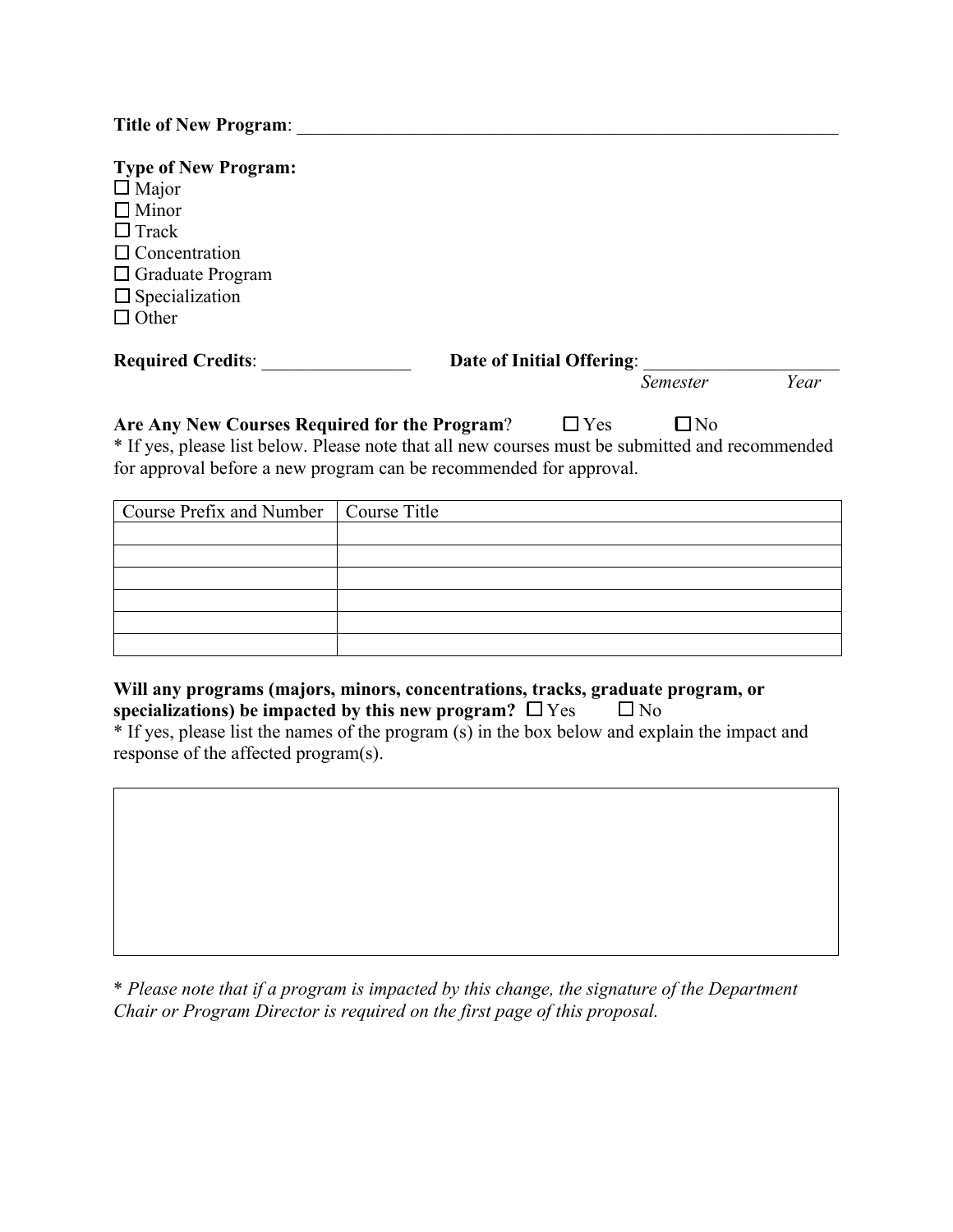| <b>Title of New Program:</b> |  |
|------------------------------|--|
|------------------------------|--|

| Date of Initial Offering:<br>Year<br><i>Semester</i><br>$\Box$ Yes<br>$\Box$ No<br>Are Any New Courses Required for the Program?<br>* If yes, please list below. Please note that all new courses must be submitted and recommended<br>for approval before a new program can be recommended for approval.<br>Course Prefix and Number<br>Course Title | <b>Type of New Program:</b><br>$\Box$ Major<br>$\Box$ Minor<br>$\Box$ Track<br>$\Box$ Concentration<br>$\Box$ Graduate Program<br>$\Box$ Specialization<br>$\Box$ Other |  |  |  |  |  |  |
|-------------------------------------------------------------------------------------------------------------------------------------------------------------------------------------------------------------------------------------------------------------------------------------------------------------------------------------------------------|-------------------------------------------------------------------------------------------------------------------------------------------------------------------------|--|--|--|--|--|--|
|                                                                                                                                                                                                                                                                                                                                                       | <b>Required Credits:</b>                                                                                                                                                |  |  |  |  |  |  |
|                                                                                                                                                                                                                                                                                                                                                       |                                                                                                                                                                         |  |  |  |  |  |  |
|                                                                                                                                                                                                                                                                                                                                                       |                                                                                                                                                                         |  |  |  |  |  |  |

## **Will any programs (majors, minors, concentrations, tracks, graduate program, or specializations) be impacted by this new program?**  $\square$  Yes  $\square$  No

\* If yes, please list the names of the program (s) in the box below and explain the impact and response of the affected program(s).

\* *Please note that if a program is impacted by this change, the signature of the Department Chair or Program Director is required on the first page of this proposal.*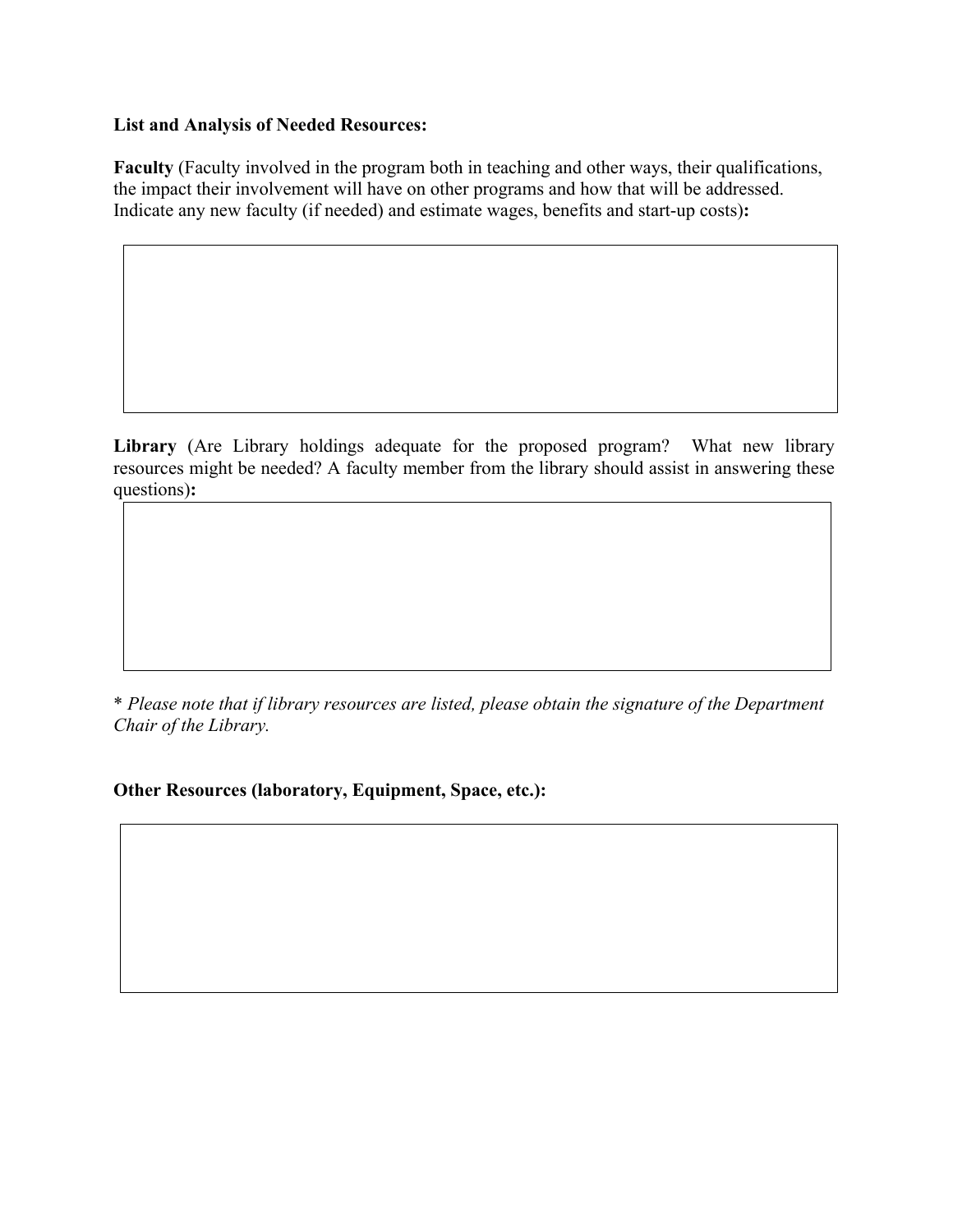## **List and Analysis of Needed Resources:**

**Faculty** (Faculty involved in the program both in teaching and other ways, their qualifications, the impact their involvement will have on other programs and how that will be addressed. Indicate any new faculty (if needed) and estimate wages, benefits and start-up costs)**:** 

**Library** (Are Library holdings adequate for the proposed program? What new library resources might be needed? A faculty member from the library should assist in answering these questions)**:** 

\* *Please note that if library resources are listed, please obtain the signature of the Department Chair of the Library.*

**Other Resources (laboratory, Equipment, Space, etc.):**